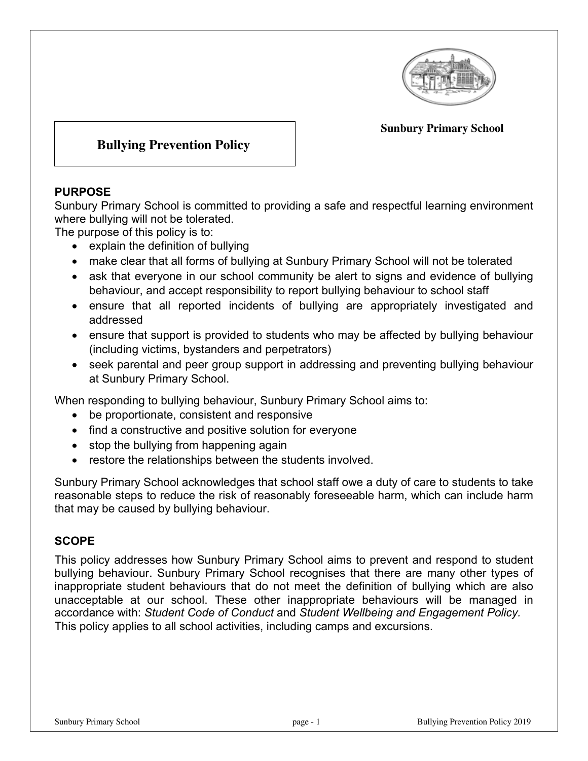

#### **Sunbury Primary School**

# **Bullying Prevention Policy**

### **PURPOSE**

Sunbury Primary School is committed to providing a safe and respectful learning environment where bullying will not be tolerated.

The purpose of this policy is to:

- explain the definition of bullying
- make clear that all forms of bullying at Sunbury Primary School will not be tolerated
- ask that everyone in our school community be alert to signs and evidence of bullying behaviour, and accept responsibility to report bullying behaviour to school staff
- ensure that all reported incidents of bullying are appropriately investigated and addressed
- ensure that support is provided to students who may be affected by bullying behaviour (including victims, bystanders and perpetrators)
- seek parental and peer group support in addressing and preventing bullying behaviour at Sunbury Primary School.

When responding to bullying behaviour, Sunbury Primary School aims to:

- be proportionate, consistent and responsive
- find a constructive and positive solution for everyone
- stop the bullying from happening again
- restore the relationships between the students involved.

Sunbury Primary School acknowledges that school staff owe a duty of care to students to take reasonable steps to reduce the risk of reasonably foreseeable harm, which can include harm that may be caused by bullying behaviour.

## **SCOPE**

This policy addresses how Sunbury Primary School aims to prevent and respond to student bullying behaviour. Sunbury Primary School recognises that there are many other types of inappropriate student behaviours that do not meet the definition of bullying which are also unacceptable at our school. These other inappropriate behaviours will be managed in accordance with: *Student Code of Conduct* and *Student Wellbeing and Engagement Policy.* This policy applies to all school activities, including camps and excursions.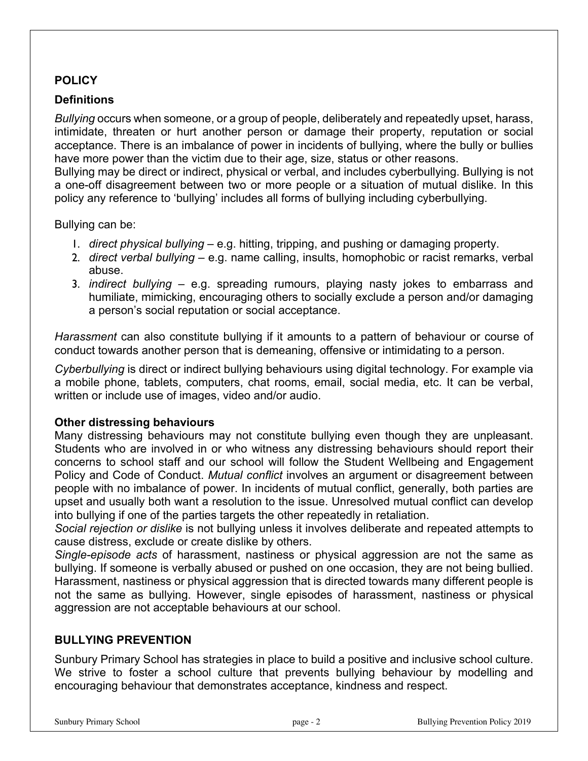## **POLICY**

## **Definitions**

*Bullying* occurs when someone, or a group of people, deliberately and repeatedly upset, harass, intimidate, threaten or hurt another person or damage their property, reputation or social acceptance. There is an imbalance of power in incidents of bullying, where the bully or bullies have more power than the victim due to their age, size, status or other reasons.

Bullying may be direct or indirect, physical or verbal, and includes cyberbullying. Bullying is not a one-off disagreement between two or more people or a situation of mutual dislike. In this policy any reference to 'bullying' includes all forms of bullying including cyberbullying.

Bullying can be:

- 1. *direct physical bullying* e.g. hitting, tripping, and pushing or damaging property.
- 2. *direct verbal bullying* e.g. name calling, insults, homophobic or racist remarks, verbal abuse.
- 3. *indirect bullying* e.g. spreading rumours, playing nasty jokes to embarrass and humiliate, mimicking, encouraging others to socially exclude a person and/or damaging a person's social reputation or social acceptance.

*Harassment* can also constitute bullying if it amounts to a pattern of behaviour or course of conduct towards another person that is demeaning, offensive or intimidating to a person.

*Cyberbullying* is direct or indirect bullying behaviours using digital technology. For example via a mobile phone, tablets, computers, chat rooms, email, social media, etc. It can be verbal, written or include use of images, video and/or audio.

#### **Other distressing behaviours**

Many distressing behaviours may not constitute bullying even though they are unpleasant. Students who are involved in or who witness any distressing behaviours should report their concerns to school staff and our school will follow the Student Wellbeing and Engagement Policy and Code of Conduct. *Mutual conflict* involves an argument or disagreement between people with no imbalance of power. In incidents of mutual conflict, generally, both parties are upset and usually both want a resolution to the issue. Unresolved mutual conflict can develop into bullying if one of the parties targets the other repeatedly in retaliation.

*Social rejection or dislike* is not bullying unless it involves deliberate and repeated attempts to cause distress, exclude or create dislike by others.

*Single-episode acts* of harassment, nastiness or physical aggression are not the same as bullying. If someone is verbally abused or pushed on one occasion, they are not being bullied. Harassment, nastiness or physical aggression that is directed towards many different people is not the same as bullying. However, single episodes of harassment, nastiness or physical aggression are not acceptable behaviours at our school.

## **BULLYING PREVENTION**

Sunbury Primary School has strategies in place to build a positive and inclusive school culture. We strive to foster a school culture that prevents bullying behaviour by modelling and encouraging behaviour that demonstrates acceptance, kindness and respect.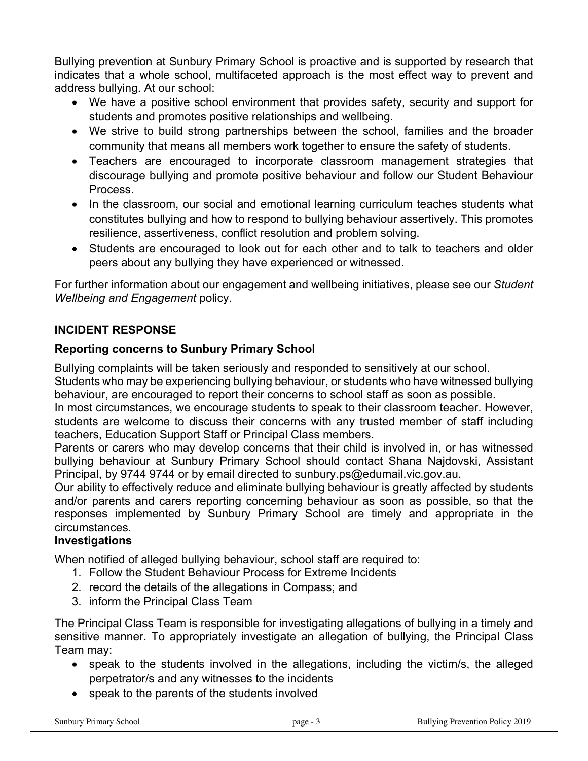Bullying prevention at Sunbury Primary School is proactive and is supported by research that indicates that a whole school, multifaceted approach is the most effect way to prevent and address bullying. At our school:

- We have a positive school environment that provides safety, security and support for students and promotes positive relationships and wellbeing.
- We strive to build strong partnerships between the school, families and the broader community that means all members work together to ensure the safety of students.
- Teachers are encouraged to incorporate classroom management strategies that discourage bullying and promote positive behaviour and follow our Student Behaviour Process.
- In the classroom, our social and emotional learning curriculum teaches students what constitutes bullying and how to respond to bullying behaviour assertively. This promotes resilience, assertiveness, conflict resolution and problem solving.
- Students are encouraged to look out for each other and to talk to teachers and older peers about any bullying they have experienced or witnessed.

For further information about our engagement and wellbeing initiatives, please see our *Student Wellbeing and Engagement* policy.

# **INCIDENT RESPONSE**

# **Reporting concerns to Sunbury Primary School**

Bullying complaints will be taken seriously and responded to sensitively at our school.

Students who may be experiencing bullying behaviour, or students who have witnessed bullying behaviour, are encouraged to report their concerns to school staff as soon as possible.

In most circumstances, we encourage students to speak to their classroom teacher. However, students are welcome to discuss their concerns with any trusted member of staff including teachers, Education Support Staff or Principal Class members.

Parents or carers who may develop concerns that their child is involved in, or has witnessed bullying behaviour at Sunbury Primary School should contact Shana Najdovski, Assistant Principal, by 9744 9744 or by email directed to sunbury.ps@edumail.vic.gov.au.

Our ability to effectively reduce and eliminate bullying behaviour is greatly affected by students and/or parents and carers reporting concerning behaviour as soon as possible, so that the responses implemented by Sunbury Primary School are timely and appropriate in the circumstances.

## **Investigations**

When notified of alleged bullying behaviour, school staff are required to:

- 1. Follow the Student Behaviour Process for Extreme Incidents
- 2. record the details of the allegations in Compass; and
- 3. inform the Principal Class Team

The Principal Class Team is responsible for investigating allegations of bullying in a timely and sensitive manner. To appropriately investigate an allegation of bullying, the Principal Class Team may:

- speak to the students involved in the allegations, including the victim/s, the alleged perpetrator/s and any witnesses to the incidents
- speak to the parents of the students involved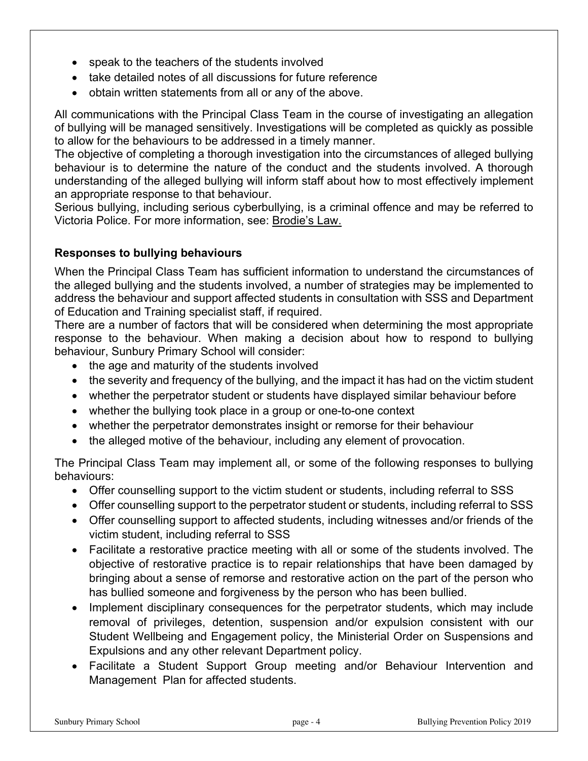- speak to the teachers of the students involved
- take detailed notes of all discussions for future reference
- obtain written statements from all or any of the above.

All communications with the Principal Class Team in the course of investigating an allegation of bullying will be managed sensitively. Investigations will be completed as quickly as possible to allow for the behaviours to be addressed in a timely manner.

The objective of completing a thorough investigation into the circumstances of alleged bullying behaviour is to determine the nature of the conduct and the students involved. A thorough understanding of the alleged bullying will inform staff about how to most effectively implement an appropriate response to that behaviour.

Serious bullying, including serious cyberbullying, is a criminal offence and may be referred to Victoria Police. For more information, see: Brodie's Law.

### **Responses to bullying behaviours**

When the Principal Class Team has sufficient information to understand the circumstances of the alleged bullying and the students involved, a number of strategies may be implemented to address the behaviour and support affected students in consultation with SSS and Department of Education and Training specialist staff, if required.

There are a number of factors that will be considered when determining the most appropriate response to the behaviour. When making a decision about how to respond to bullying behaviour, Sunbury Primary School will consider:

- the age and maturity of the students involved
- the severity and frequency of the bullying, and the impact it has had on the victim student
- whether the perpetrator student or students have displayed similar behaviour before
- whether the bullying took place in a group or one-to-one context
- whether the perpetrator demonstrates insight or remorse for their behaviour
- the alleged motive of the behaviour, including any element of provocation.

The Principal Class Team may implement all, or some of the following responses to bullying behaviours:

- Offer counselling support to the victim student or students, including referral to SSS
- Offer counselling support to the perpetrator student or students, including referral to SSS
- Offer counselling support to affected students, including witnesses and/or friends of the victim student, including referral to SSS
- Facilitate a restorative practice meeting with all or some of the students involved. The objective of restorative practice is to repair relationships that have been damaged by bringing about a sense of remorse and restorative action on the part of the person who has bullied someone and forgiveness by the person who has been bullied.
- Implement disciplinary consequences for the perpetrator students, which may include removal of privileges, detention, suspension and/or expulsion consistent with our Student Wellbeing and Engagement policy, the Ministerial Order on Suspensions and Expulsions and any other relevant Department policy.
- Facilitate a Student Support Group meeting and/or Behaviour Intervention and Management Plan for affected students.